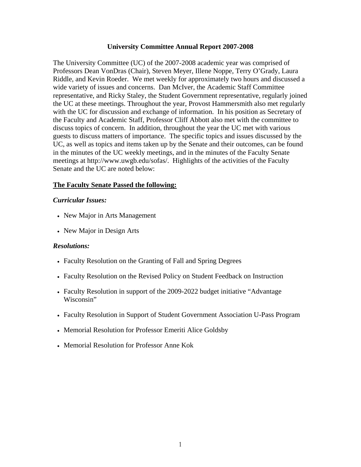#### **University Committee Annual Report 2007-2008**

The University Committee (UC) of the 2007-2008 academic year was comprised of Professors Dean VonDras (Chair), Steven Meyer, Illene Noppe, Terry O'Grady, Laura Riddle, and Kevin Roeder. We met weekly for approximately two hours and discussed a wide variety of issues and concerns. Dan McIver, the Academic Staff Committee representative, and Ricky Staley, the Student Government representative, regularly joined the UC at these meetings. Throughout the year, Provost Hammersmith also met regularly with the UC for discussion and exchange of information. In his position as Secretary of the Faculty and Academic Staff, Professor Cliff Abbott also met with the committee to discuss topics of concern. In addition, throughout the year the UC met with various guests to discuss matters of importance. The specific topics and issues discussed by the UC, as well as topics and items taken up by the Senate and their outcomes, can be found in the minutes of the UC weekly meetings, and in the minutes of the Faculty Senate meetings at http://www.uwgb.edu/sofas/. Highlights of the activities of the Faculty Senate and the UC are noted below:

### **The Faculty Senate Passed the following:**

#### *Curricular Issues:*

- New Major in Arts Management
- New Major in Design Arts

#### *Resolutions:*

- Faculty Resolution on the Granting of Fall and Spring Degrees
- Faculty Resolution on the Revised Policy on Student Feedback on Instruction
- Faculty Resolution in support of the 2009-2022 budget initiative "Advantage Wisconsin"
- Faculty Resolution in Support of Student Government Association U-Pass Program
- Memorial Resolution for Professor Emeriti Alice Goldsby
- Memorial Resolution for Professor Anne Kok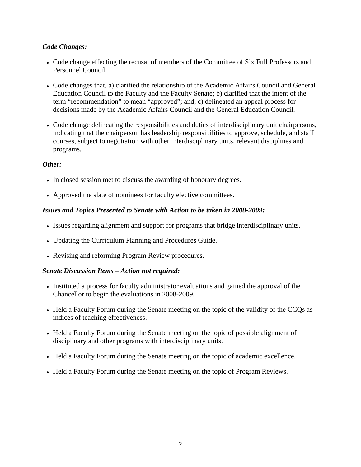# *Code Changes:*

- Code change effecting the recusal of members of the Committee of Six Full Professors and Personnel Council
- Code changes that, a) clarified the relationship of the Academic Affairs Council and General Education Council to the Faculty and the Faculty Senate; b) clarified that the intent of the term "recommendation" to mean "approved"; and, c) delineated an appeal process for decisions made by the Academic Affairs Council and the General Education Council.
- Code change delineating the responsibilities and duties of interdisciplinary unit chairpersons, indicating that the chairperson has leadership responsibilities to approve, schedule, and staff courses, subject to negotiation with other interdisciplinary units, relevant disciplines and programs.

### *Other:*

- In closed session met to discuss the awarding of honorary degrees.
- Approved the slate of nominees for faculty elective committees.

### *Issues and Topics Presented to Senate with Action to be taken in 2008-2009:*

- Issues regarding alignment and support for programs that bridge interdisciplinary units.
- Updating the Curriculum Planning and Procedures Guide.
- Revising and reforming Program Review procedures.

### *Senate Discussion Items – Action not required:*

- Instituted a process for faculty administrator evaluations and gained the approval of the Chancellor to begin the evaluations in 2008-2009.
- Held a Faculty Forum during the Senate meeting on the topic of the validity of the CCQs as indices of teaching effectiveness.
- Held a Faculty Forum during the Senate meeting on the topic of possible alignment of disciplinary and other programs with interdisciplinary units.
- Held a Faculty Forum during the Senate meeting on the topic of academic excellence.
- Held a Faculty Forum during the Senate meeting on the topic of Program Reviews.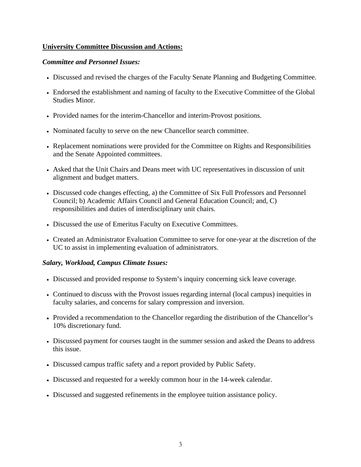# **University Committee Discussion and Actions:**

### *Committee and Personnel Issues:*

- Discussed and revised the charges of the Faculty Senate Planning and Budgeting Committee.
- Endorsed the establishment and naming of faculty to the Executive Committee of the Global Studies Minor.
- Provided names for the interim-Chancellor and interim-Provost positions.
- Nominated faculty to serve on the new Chancellor search committee.
- Replacement nominations were provided for the Committee on Rights and Responsibilities and the Senate Appointed committees.
- Asked that the Unit Chairs and Deans meet with UC representatives in discussion of unit alignment and budget matters.
- Discussed code changes effecting, a) the Committee of Six Full Professors and Personnel Council; b) Academic Affairs Council and General Education Council; and, C) responsibilities and duties of interdisciplinary unit chairs.
- Discussed the use of Emeritus Faculty on Executive Committees.
- Created an Administrator Evaluation Committee to serve for one-year at the discretion of the UC to assist in implementing evaluation of administrators.

### *Salary, Workload, Campus Climate Issues:*

- Discussed and provided response to System's inquiry concerning sick leave coverage.
- Continued to discuss with the Provost issues regarding internal (local campus) inequities in faculty salaries, and concerns for salary compression and inversion.
- Provided a recommendation to the Chancellor regarding the distribution of the Chancellor's 10% discretionary fund.
- Discussed payment for courses taught in the summer session and asked the Deans to address this issue.
- Discussed campus traffic safety and a report provided by Public Safety.
- Discussed and requested for a weekly common hour in the 14-week calendar.
- Discussed and suggested refinements in the employee tuition assistance policy.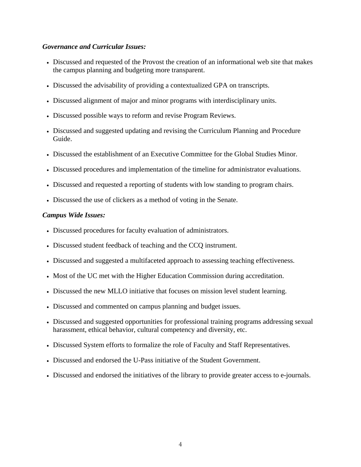### *Governance and Curricular Issues:*

- Discussed and requested of the Provost the creation of an informational web site that makes the campus planning and budgeting more transparent.
- Discussed the advisability of providing a contextualized GPA on transcripts.
- Discussed alignment of major and minor programs with interdisciplinary units.
- Discussed possible ways to reform and revise Program Reviews.
- Discussed and suggested updating and revising the Curriculum Planning and Procedure Guide.
- Discussed the establishment of an Executive Committee for the Global Studies Minor.
- Discussed procedures and implementation of the timeline for administrator evaluations.
- Discussed and requested a reporting of students with low standing to program chairs.
- Discussed the use of clickers as a method of voting in the Senate.

### *Campus Wide Issues:*

- Discussed procedures for faculty evaluation of administrators.
- Discussed student feedback of teaching and the CCQ instrument.
- Discussed and suggested a multifaceted approach to assessing teaching effectiveness.
- Most of the UC met with the Higher Education Commission during accreditation.
- Discussed the new MLLO initiative that focuses on mission level student learning.
- Discussed and commented on campus planning and budget issues.
- Discussed and suggested opportunities for professional training programs addressing sexual harassment, ethical behavior, cultural competency and diversity, etc.
- Discussed System efforts to formalize the role of Faculty and Staff Representatives.
- Discussed and endorsed the U-Pass initiative of the Student Government.
- Discussed and endorsed the initiatives of the library to provide greater access to e-journals.